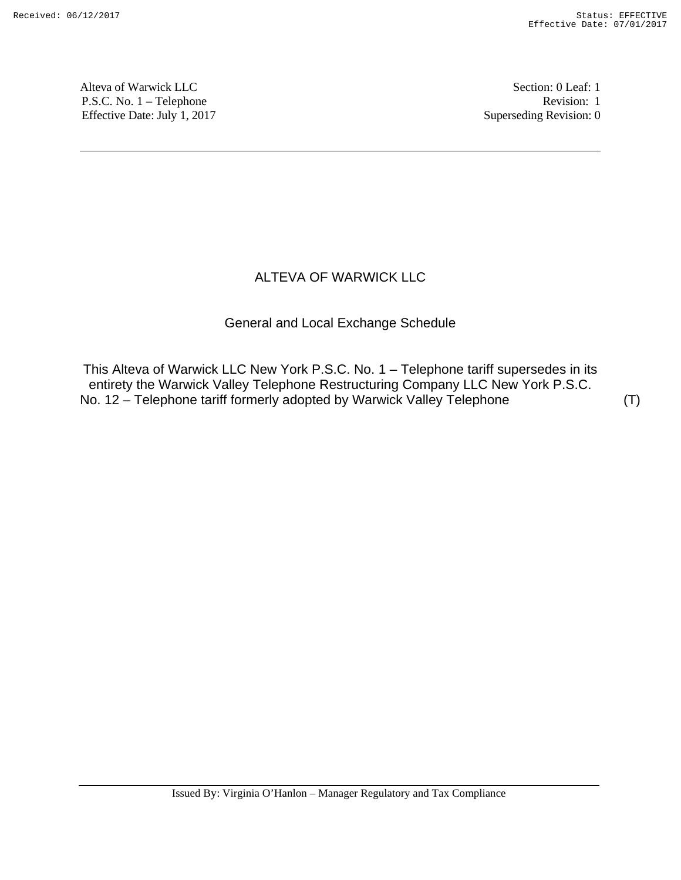Alteva of Warwick LLC Section: 0 Leaf: 1 P.S.C. No. 1 – Telephone Revision: 1 Effective Date: July 1, 2017 Superseding Revision: 0

## ALTEVA OF WARWICK LLC

## General and Local Exchange Schedule

This Alteva of Warwick LLC New York P.S.C. No. 1 – Telephone tariff supersedes in its entirety the Warwick Valley Telephone Restructuring Company LLC New York P.S.C. No. 12 – Telephone tariff formerly adopted by Warwick Valley Telephone (T)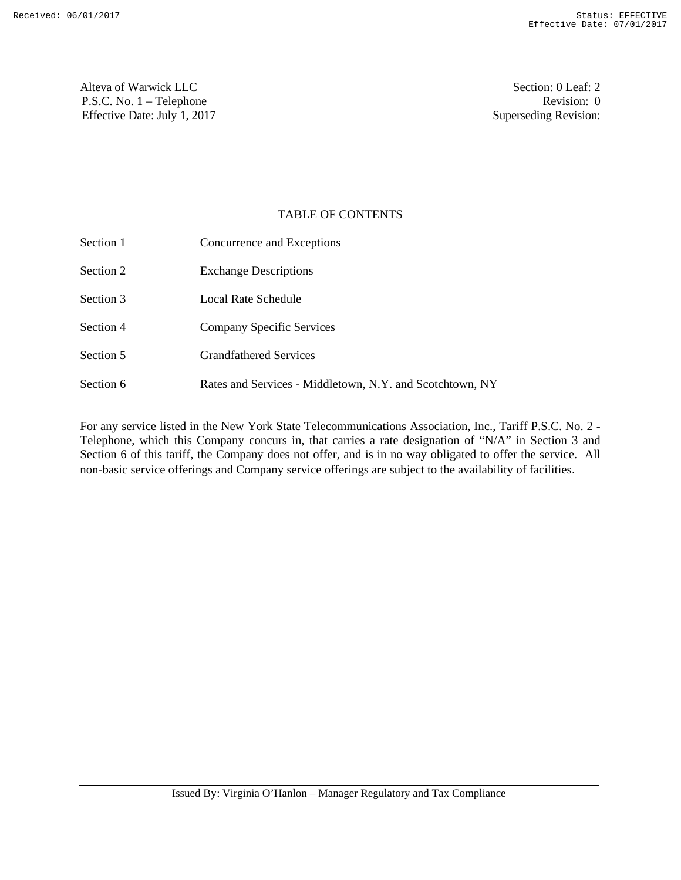Alteva of Warwick LLC Section: 0 Leaf: 2 P.S.C. No. 1 – Telephone Revision: 0 Effective Date: July 1, 2017 Superseding Revision:

## TABLE OF CONTENTS

| Section 1 | Concurrence and Exceptions                               |
|-----------|----------------------------------------------------------|
| Section 2 | <b>Exchange Descriptions</b>                             |
| Section 3 | Local Rate Schedule                                      |
| Section 4 | Company Specific Services                                |
| Section 5 | <b>Grandfathered Services</b>                            |
| Section 6 | Rates and Services - Middletown, N.Y. and Scotchtown, NY |

For any service listed in the New York State Telecommunications Association, Inc., Tariff P.S.C. No. 2 - Telephone, which this Company concurs in, that carries a rate designation of "N/A" in Section 3 and Section 6 of this tariff, the Company does not offer, and is in no way obligated to offer the service. All non-basic service offerings and Company service offerings are subject to the availability of facilities.